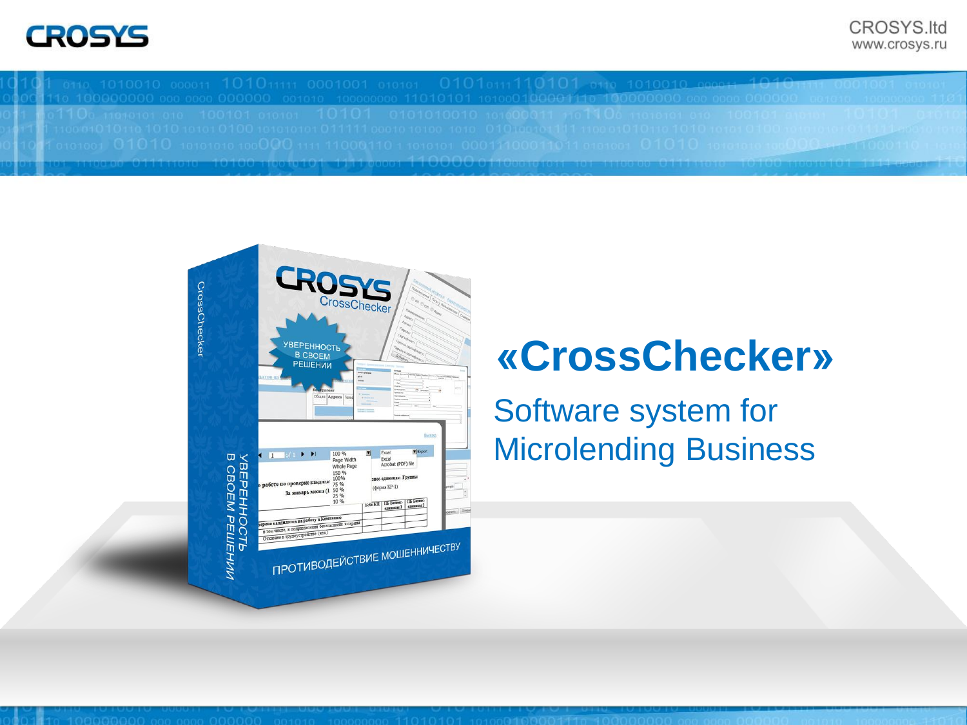0110 1010010 000011 101011111 0001001 010101 0101011110101 0110 10100<u>1</u> 



# **«CrossChecker»**

Software system for Microlending Business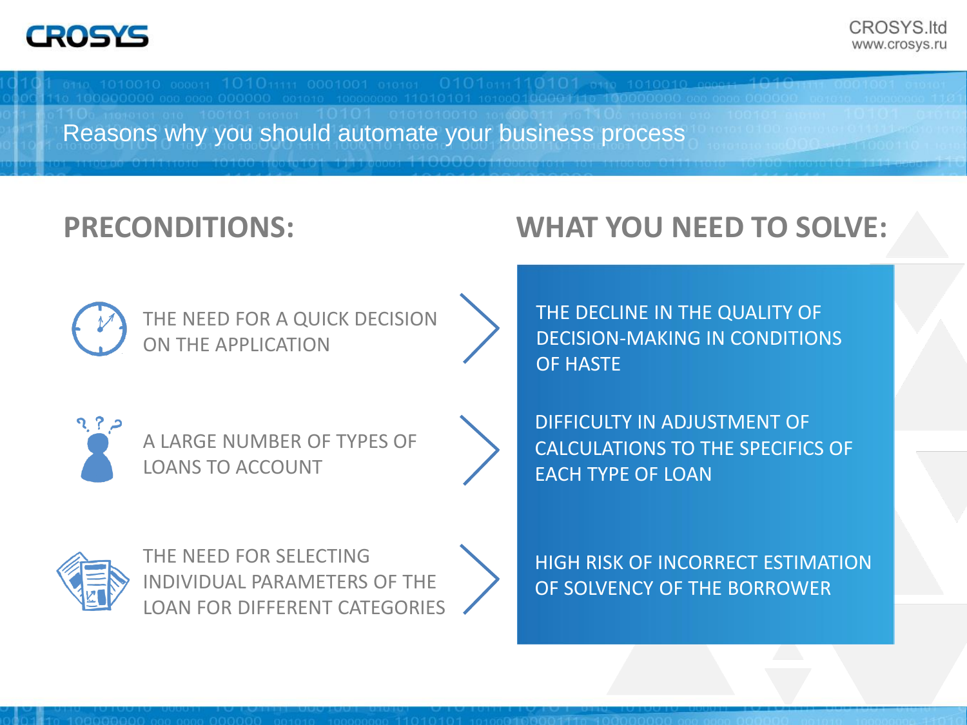Reasons why you should automate your business process

## **PRECONDITIONS: WHAT YOU NEED TO SOLVE:**





<u>วุ? ;</u>

A LARGE NUMBER OF TYPES OF LOANS TO ACCOUNT





THE NEED FOR SELECTING INDIVIDUAL PARAMETERS OF THE LOAN FOR DIFFERENT CATEGORIES THE DECLINE IN THE QUALITY OF DECISION-MAKING IN CONDITIONS OF HASTE

DIFFICULTY IN ADJUSTMENT OF CALCULATIONS TO THE SPECIFICS OF EACH TYPE OF LOAN

HIGH RISK OF INCORRECT ESTIMATION OF SOLVENCY OF THE BORROWER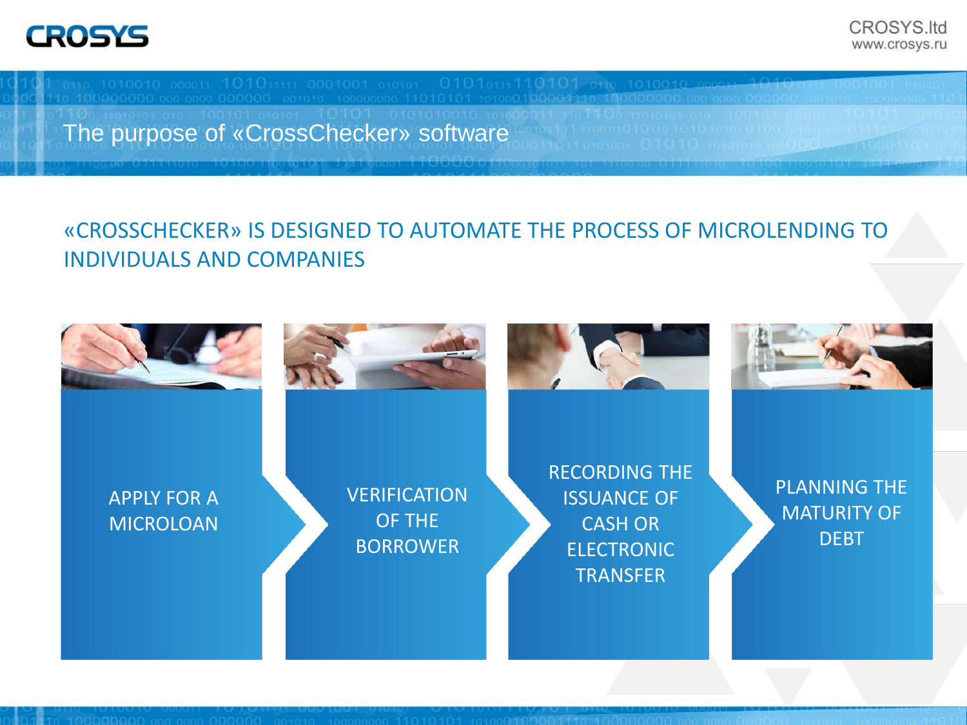The purpose of «CrossChecker» software

#### «CROSSCHECKER» IS DESIGNED TO AUTOMATE THE PROCESS OF MICROLENDING TO INDIVIDUALS AND COMPANIES

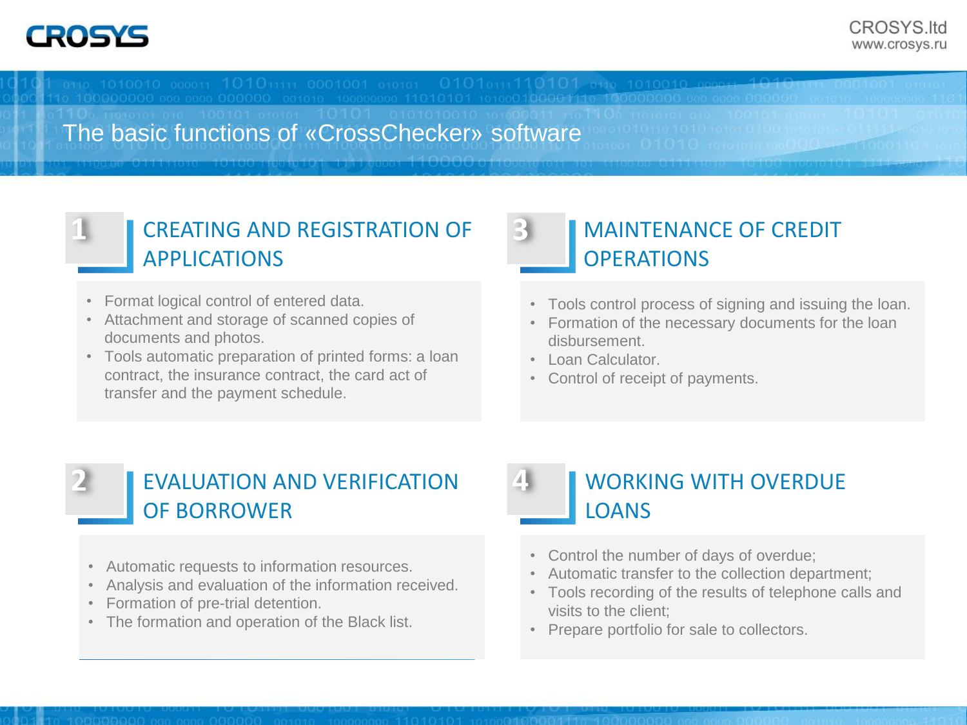The basic functions of «CrossChecker» software

3

#### CREATING AND REGISTRATION OF APPLICATIONS

- Format logical control of entered data.
- Attachment and storage of scanned copies of documents and photos.
- Tools automatic preparation of printed forms: a loan contract, the insurance contract, the card act of transfer and the payment schedule..

#### MAINTENANCE OF CREDIT **OPERATIONS**

- Tools control process of signing and issuing the loan.
- Formation of the necessary documents for the loan disbursement.
- Loan Calculator.
- Control of receipt of payments.

#### EVALUATION AND VERIFICATION OF BORROWER

- Automatic requests to information resources.
- Analysis and evaluation of the information received.
- Formation of pre-trial detention.
- The formation and operation of the Black list.

#### WORKING WITH OVERDUE LOANS

- Control the number of days of overdue;
- Automatic transfer to the collection department;
- Tools recording of the results of telephone calls and visits to the client;
- Prepare portfolio for sale to collectors.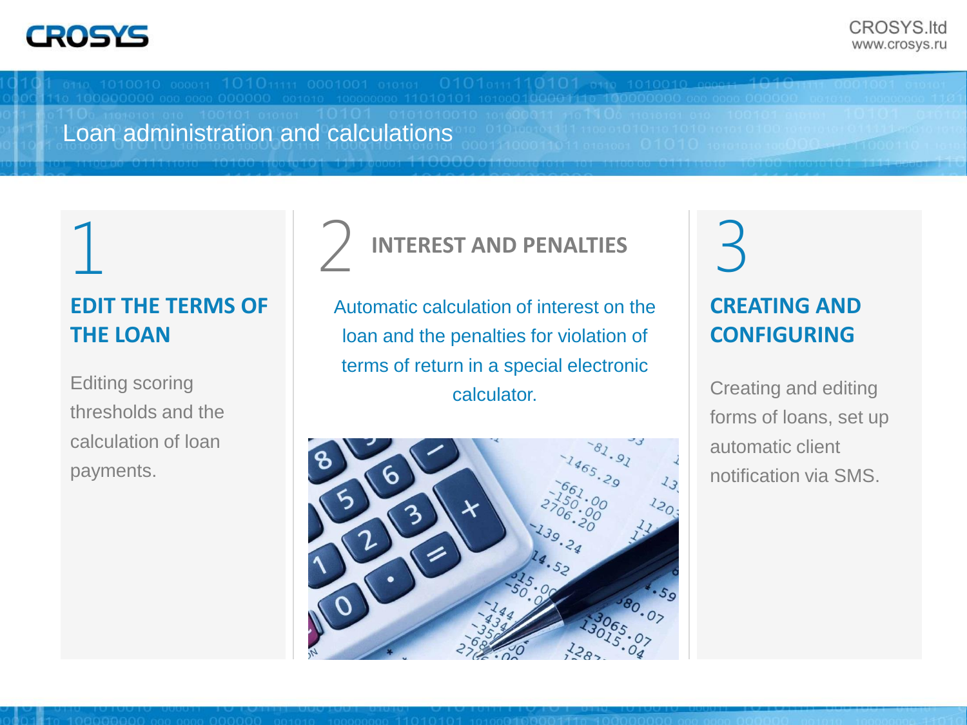Loan administration and calculations

#### **EDIT THE TERMS OF THE LOAN**

thresholds and the calculation of loan payments.

# 1 2 INTEREST AND PENALTIES 3 **INTEREST AND PENALTIES**

Automatic calculation of interest on the loan and the penalties for violation of terms of return in a special electronic Editing scoring **Example 20** and the calculator.



# **CREATING AND CONFIGURING**

Creating and editing forms of loans, set up automatic client notification via SMS.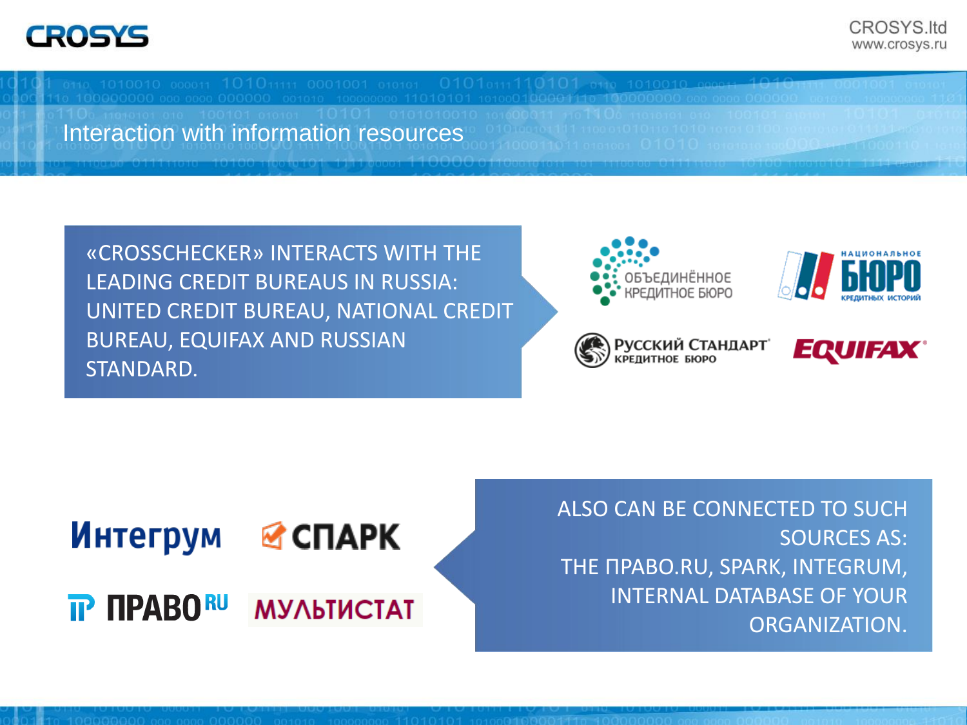Interaction with information resources

«CROSSCHECKER» INTERACTS WITH THE LEADING CREDIT BUREAUS IN RUSSIA: UNITED CREDIT BUREAU, NATIONAL CREDIT BUREAU, EQUIFAX AND RUSSIAN STANDARD.











ALSO CAN BE CONNECTED TO SUCH SOURCES AS: THE ПРАВО.RU, SPARK, INTEGRUM, INTERNAL DATABASE OF YOUR ORGANIZATION.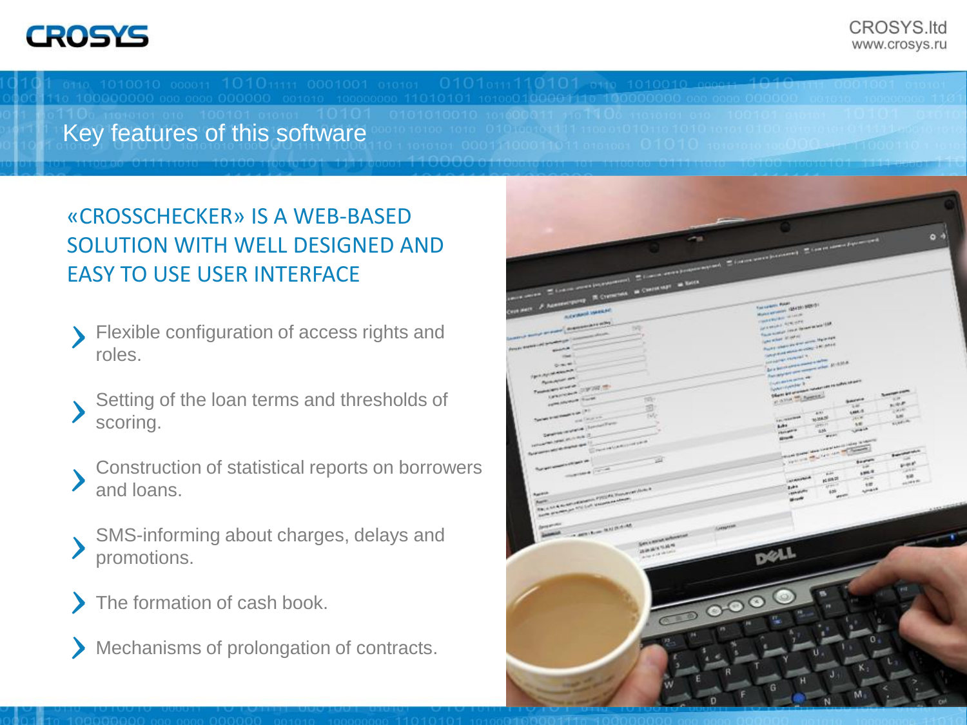Key features of this software

#### «CROSSCHECKER» IS A WEB-BASED SOLUTION WITH WELL DESIGNED AND EASY TO USE USER INTERFACE

- Flexible configuration of access rights and roles. **>**
- Setting of the loan terms and thresholds of scoring. **>**
- Construction of statistical reports on borrowers and loans. **>**
- SMS-informing about charges, delays and promotions. **>**
- The formation of cash book. **>**
- Mechanisms of prolongation of contracts. **>**

|                                                                                                                                                                                                                                                                             | ۰                                                                                                                                                                                                                                                                             |
|-----------------------------------------------------------------------------------------------------------------------------------------------------------------------------------------------------------------------------------------------------------------------------|-------------------------------------------------------------------------------------------------------------------------------------------------------------------------------------------------------------------------------------------------------------------------------|
| the contract of the contract experimental distance and homewheread. If it can see the present of the contract process of the contract of the contract of the contract of the contract of the contract of the contract of the c                                              | 0 <sup>4</sup>                                                                                                                                                                                                                                                                |
|                                                                                                                                                                                                                                                                             |                                                                                                                                                                                                                                                                               |
|                                                                                                                                                                                                                                                                             |                                                                                                                                                                                                                                                                               |
|                                                                                                                                                                                                                                                                             |                                                                                                                                                                                                                                                                               |
| Contains of Assessments IR Constraint as Canterinary as South                                                                                                                                                                                                               |                                                                                                                                                                                                                                                                               |
|                                                                                                                                                                                                                                                                             |                                                                                                                                                                                                                                                                               |
|                                                                                                                                                                                                                                                                             | Torranch Raps<br>Muses entered (McColor SEE) (r)                                                                                                                                                                                                                              |
| <b>Advance Weeker</b>                                                                                                                                                                                                                                                       | <b>CONTRACTOR</b>                                                                                                                                                                                                                                                             |
| o move or sure a manuscritor solo<br>192                                                                                                                                                                                                                                    | WARNER ALWAYS<br>Faces business court de membre les de la p                                                                                                                                                                                                                   |
| 2000                                                                                                                                                                                                                                                                        |                                                                                                                                                                                                                                                                               |
| <b><i>ANNAHOL PARAMENT</i></b>                                                                                                                                                                                                                                              | <b>Generalist Scheen</b><br>thank is there are their county that may                                                                                                                                                                                                          |
| spinster,<br>drama #11                                                                                                                                                                                                                                                      | <b>CAN PERSONAL PROPERTY AND PARTY</b>                                                                                                                                                                                                                                        |
| <b>COMPANY</b>                                                                                                                                                                                                                                                              | <b>Antique request a</b>                                                                                                                                                                                                                                                      |
| time)                                                                                                                                                                                                                                                                       | <b>Die in der ein einem mannen in der ten</b>                                                                                                                                                                                                                                 |
| <b><i><i><u><i><b>DES AFIRANCIA</b></i></u></i></i></b>                                                                                                                                                                                                                     | Analysis and many other \$1,430.00                                                                                                                                                                                                                                            |
| Park Alexander                                                                                                                                                                                                                                                              | <b>Contractor and W</b><br>System parties &                                                                                                                                                                                                                                   |
| <b><i><u>Particular Contract Contract Contract Contract Contract Contract Contract Contract Contract Contract Contract Contract Contract Contract Contract Contract Contract Contract Contract Contract Contract Contract Contract C</u></i></b><br>UNIVERSITY OF THE TO    | Officers and committee monetary are no suffice an auto-<br><b>Support Ford</b>                                                                                                                                                                                                |
| <b>COMMERCIAL CANAL</b><br>$-143 - 14$                                                                                                                                                                                                                                      | Case of here.<br>$\approx 10$ .<br>Service                                                                                                                                                                                                                                    |
| d                                                                                                                                                                                                                                                                           | $\mu/\psi$ .<br>P<br>54<br>$\mathbb{R}^{d \times W}$<br><b>LOCA</b>                                                                                                                                                                                                           |
| The first line of the party of the U.S. of<br>SW<br>and Georgia                                                                                                                                                                                                             | $+11$<br>ani.<br><b>Louisville</b><br><b>WEAR</b><br>20.8                                                                                                                                                                                                                     |
| <b>Control district</b> (Spinachem                                                                                                                                                                                                                                          | size.n.<br>A.R.<br>Achi .<br><b>GROT</b>                                                                                                                                                                                                                                      |
|                                                                                                                                                                                                                                                                             | <b>Unit</b><br><b>Holland</b><br>ath.<br>$\mathbf{r}$                                                                                                                                                                                                                         |
| <b>Contract of America</b>                                                                                                                                                                                                                                                  | good.                                                                                                                                                                                                                                                                         |
| <b>Shering Campbell</b><br><b><i><u>ALWER WHERE WE THE WESTERN WESTERN WESTERN WESTERN WESTERN WESTERN WESTERN WESTERN WESTERN WESTERN WESTERN WESTERN WESTERN WESTERN WESTERN WESTERN WESTERN WESTERN WESTERN WESTERN WESTERN WESTERN WESTERN WESTERN WESTERN </u></i></b> | <b><i>CONTRACT</i></b>                                                                                                                                                                                                                                                        |
| 図                                                                                                                                                                                                                                                                           | procedures the company of the company of the company of the company of the company of the company of the company of the company of the company of the company of the company of the company of the company of the company of t<br><b>Andrew Comment Comment</b><br>u<br>trees |
| <b><i><u>System capital</u></i></b>                                                                                                                                                                                                                                         | $v = r$<br>GAP                                                                                                                                                                                                                                                                |
| <b>SHOWA TOWA</b>                                                                                                                                                                                                                                                           | spa it<br><b>W</b><br>$\mathbb{R}^2$<br>$-44$                                                                                                                                                                                                                                 |
|                                                                                                                                                                                                                                                                             | <b>ALASKA</b><br><b>KERT</b><br><b>ALCOHOL:</b><br>$-400$<br>$47 + 1$<br>Ires.                                                                                                                                                                                                |
| The a not do not of the party of the fundamental dealer is<br><b>Agency</b>                                                                                                                                                                                                 | Agreed M<br>$\mu \nu$<br><b>LEASER</b>                                                                                                                                                                                                                                        |
| parts designed for the Last supporter and state                                                                                                                                                                                                                             | <b>WENT</b><br>West <sup>h</sup>                                                                                                                                                                                                                                              |
|                                                                                                                                                                                                                                                                             |                                                                                                                                                                                                                                                                               |
|                                                                                                                                                                                                                                                                             |                                                                                                                                                                                                                                                                               |
| <b>Dental Anti-</b><br>Anteriorum                                                                                                                                                                                                                                           |                                                                                                                                                                                                                                                                               |
| <b>CALIFORNIA MARCHINE</b><br><b>James</b> A.                                                                                                                                                                                                                               |                                                                                                                                                                                                                                                                               |
| Sen cannon enhancement                                                                                                                                                                                                                                                      |                                                                                                                                                                                                                                                                               |
| <b>JAMIE WIE</b><br><b>Alle Park Artes</b>                                                                                                                                                                                                                                  |                                                                                                                                                                                                                                                                               |
|                                                                                                                                                                                                                                                                             |                                                                                                                                                                                                                                                                               |
|                                                                                                                                                                                                                                                                             |                                                                                                                                                                                                                                                                               |
| $\sqrt{2}$                                                                                                                                                                                                                                                                  | ω<br>C                                                                                                                                                                                                                                                                        |
| ide.                                                                                                                                                                                                                                                                        | m<br>塩<br>ū                                                                                                                                                                                                                                                                   |
| m<br>×<br>R.                                                                                                                                                                                                                                                                | 0 <sub>0</sub>                                                                                                                                                                                                                                                                |
| ı                                                                                                                                                                                                                                                                           | υ.                                                                                                                                                                                                                                                                            |
| э                                                                                                                                                                                                                                                                           | κ,                                                                                                                                                                                                                                                                            |
| R                                                                                                                                                                                                                                                                           | J<br>э                                                                                                                                                                                                                                                                        |
| <b>Contract Contract</b><br>E<br><b>September 200</b><br>w                                                                                                                                                                                                                  | н                                                                                                                                                                                                                                                                             |
| F                                                                                                                                                                                                                                                                           | G<br>M.                                                                                                                                                                                                                                                                       |
| D                                                                                                                                                                                                                                                                           | N<br><b>CH</b>                                                                                                                                                                                                                                                                |
|                                                                                                                                                                                                                                                                             |                                                                                                                                                                                                                                                                               |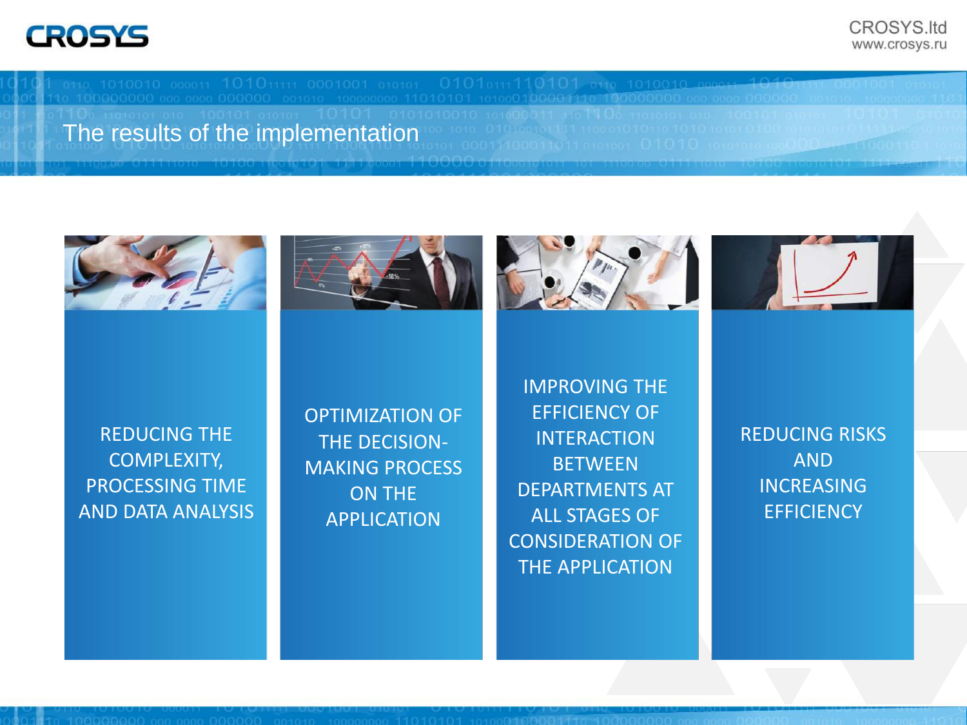CROSYS.Itd www.crosys.ru

The results of the implementation









REDUCING THE COMPLEXITY, PROCESSING TIME AND DATA ANALYSIS OPTIMIZATION OF THE DECISION-MAKING PROCESS ON THE APPLICATION

IMPROVING THE EFFICIENCY OF **INTERACTION BETWEEN** DEPARTMENTS AT ALL STAGES OF CONSIDERATION OF THE APPLICATION

REDUCING RISKS AND INCREASING **EFFICIENCY**